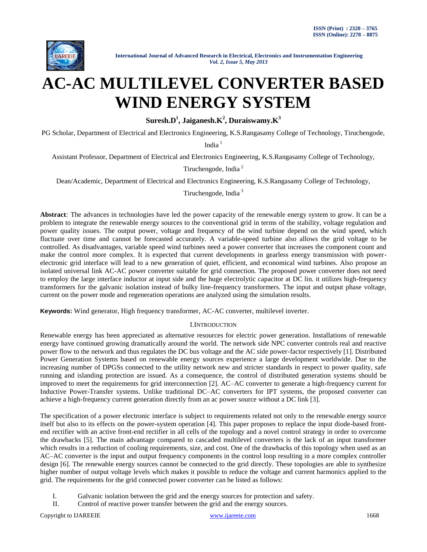

# **AC-AC MULTILEVEL CONVERTER BASED WIND ENERGY SYSTEM**

**Suresh.D<sup>1</sup> , Jaiganesh.K 2 , Duraiswamy.K 3**

PG Scholar, Department of Electrical and Electronics Engineering, K.S.Rangasamy College of Technology, Tiruchengode,

India $1$ 

Assistant Professor, Department of Electrical and Electronics Engineering, K.S.Rangasamy College of Technology,

Tiruchengode, India <sup>2</sup>

Dean/Academic, Department of Electrical and Electronics Engineering, K.S.Rangasamy College of Technology,

Tiruchengode, India <sup>3</sup>

**Abstract***:* The advances in technologies have led the power capacity of the renewable energy system to grow. It can be a problem to integrate the renewable energy sources to the conventional grid in terms of the stability, voltage regulation and power quality issues. The output power, voltage and frequency of the wind turbine depend on the wind speed, which fluctuate over time and cannot be forecasted accurately. A variable-speed turbine also allows the grid voltage to be controlled. As disadvantages, variable speed wind turbines need a power converter that increases the component count and make the control more complex. It is expected that current developments in gearless energy transmission with powerelectronic grid interface will lead to a new generation of quiet, efficient, and economical wind turbines. Also propose an isolated universal link AC-AC power converter suitable for grid connection. The proposed power converter does not need to employ the large interface inductor at input side and the huge electrolytic capacitor at DC lin. it utilizes high-frequency transformers for the galvanic isolation instead of bulky line-frequency transformers. The input and output phase voltage, current on the power mode and regeneration operations are analyzed using the simulation results.

**Keywords:** Wind generator, High frequency transformer, AC-AC converter, multilevel inverter.

# I.INTRODUCTION

Renewable energy has been appreciated as alternative resources for electric power generation. Installations of renewable energy have continued growing dramatically around the world. The network side NPC converter controls real and reactive power flow to the network and thus regulates the DC bus voltage and the AC side power-factor respectively [1]. Distributed Power Generation Systems based on renewable energy sources experience a large development worldwide. Due to the increasing number of DPGSs connected to the utility network new and stricter standards in respect to power quality, safe running and islanding protection are issued. As a consequence, the control of distributed generation systems should be improved to meet the requirements for grid interconnection [2]. AC–AC converter to generate a high-frequency current for Inductive Power-Transfer systems. Unlike traditional DC–AC converters for IPT systems, the proposed converter can achieve a high-frequency current generation directly from an ac power source without a DC link [3].

The specification of a power electronic interface is subject to requirements related not only to the renewable energy source itself but also to its effects on the power-system operation [4]. This paper proposes to replace the input diode-based frontend rectifier with an active front-end rectifier in all cells of the topology and a novel control strategy in order to overcome the drawbacks [5]. The main advantage compared to cascaded multilevel converters is the lack of an input transformer which results in a reduction of cooling requirements, size, and cost. One of the drawbacks of this topology when used as an AC–AC converter is the input and output frequency components in the control loop resulting in a more complex controller design [6]. The renewable energy sources cannot be connected to the grid directly. These topologies are able to synthesize higher number of output voltage levels which makes it possible to reduce the voltage and current harmonics applied to the grid. The requirements for the grid connected power converter can be listed as follows:

- I. Galvanic isolation between the grid and the energy sources for protection and safety.
- II. Control of reactive power transfer between the grid and the energy sources.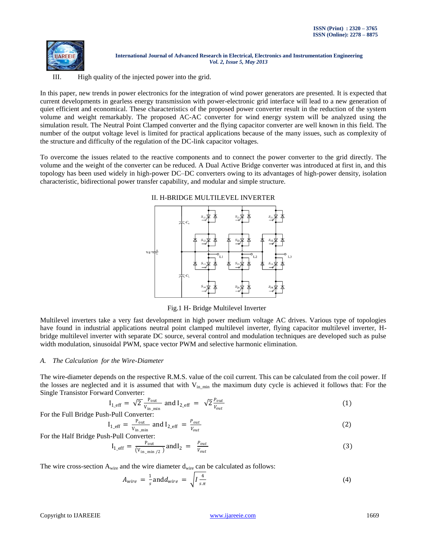

III. High quality of the injected power into the grid.

In this paper, new trends in power electronics for the integration of wind power generators are presented. It is expected that current developments in gearless energy transmission with power-electronic grid interface will lead to a new generation of quiet efficient and economical. These characteristics of the proposed power converter result in the reduction of the system volume and weight remarkably. The proposed AC-AC converter for wind energy system will be analyzed using the simulation result. The Neutral Point Clamped converter and the flying capacitor converter are well known in this field. The number of the output voltage level is limited for practical applications because of the many issues, such as complexity of the structure and difficulty of the regulation of the DC-link capacitor voltages.

To overcome the issues related to the reactive components and to connect the power converter to the grid directly. The volume and the weight of the converter can be reduced. A Dual Active Bridge converter was introduced at first in, and this topology has been used widely in high-power DC–DC converters owing to its advantages of high-power density, isolation characteristic, bidirectional power transfer capability, and modular and simple structure.



## II. H-BRIDGE MULTILEVEL INVERTER

Fig.1 H- Bridge Multilevel Inverter

Multilevel inverters take a very fast development in high power medium voltage AC drives. Various type of topologies have found in industrial applications neutral point clamped multilevel inverter, flying capacitor multilevel inverter, Hbridge multilevel inverter with separate DC source, several control and modulation techniques are developed such as pulse width modulation, sinusoidal PWM, space vector PWM and selective harmonic elimination.

## *A. The Calculation for the Wire-Diameter*

The wire-diameter depends on the respective R.M.S. value of the coil current. This can be calculated from the coil power. If the losses are neglected and it is assumed that with  $V_{in,min}$  the maximum duty cycle is achieved it follows that: For the Single Transistor Forward Converter:

$$
I_{1_{\text{eff}}} = \sqrt{2} \frac{P_{\text{out}}}{V_{\text{in\_min}}} \text{ and } I_{2_{\text{eff}}} = \sqrt{2} \frac{P_{\text{out}}}{V_{\text{out}}} \tag{1}
$$

For the Full Bridge Push-Pull Converter:

$$
I_{1_{\text{eff}}} = \frac{P_{\text{out}}}{V_{\text{in\_min}}} \text{ and } I_{2_{\text{eff}}} = \frac{P_{\text{out}}}{V_{\text{out}}} \tag{2}
$$

For the Half Bridge Push-Pull Converter:

$$
I_{1_{\text{eff}}} = \frac{P_{\text{out}}}{(V_{\text{in\_min}}/2)} \text{ and } I_2 = \frac{P_{\text{out}}}{V_{\text{out}}} \tag{3}
$$

The wire cross-section  $A_{wire}$  and the wire diameter  $d_{wire}$  can be calculated as follows:

$$
A_{wire} = \frac{1}{s} \text{and} d_{wire} = \sqrt{I \frac{4}{s \pi}}
$$
 (4)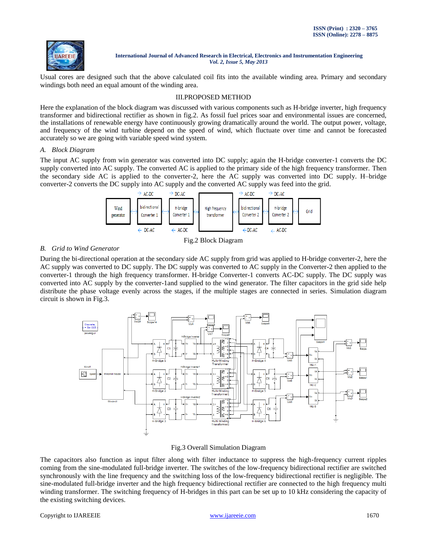

Usual cores are designed such that the above calculated coil fits into the available winding area. Primary and secondary windings both need an equal amount of the winding area.

# III.PROPOSED METHOD

Here the explanation of the block diagram was discussed with various components such as H-bridge inverter, high frequency transformer and bidirectional rectifier as shown in fig.2. As fossil fuel prices soar and environmental issues are concerned, the installations of renewable energy have continuously growing dramatically around the world. The output power, voltage, and frequency of the wind turbine depend on the speed of wind, which fluctuate over time and cannot be forecasted accurately so we are going with variable speed wind system.

## *A. Block Diagram*

The input AC supply from win generator was converted into DC supply; again the H-bridge converter-1 converts the DC supply converted into AC supply. The converted AC is applied to the primary side of the high frequency transformer. Then the secondary side AC is applied to the converter-2, here the AC supply was converted into DC supply. H–bridge converter-2 converts the DC supply into AC supply and the converted AC supply was feed into the grid.



Fig.2 Block Diagram

# *B. Grid to Wind Generator*

During the bi-directional operation at the secondary side AC supply from grid was applied to H-bridge converter-2, here the AC supply was converted to DC supply. The DC supply was converted to AC supply in the Converter-2 then applied to the converter-1 through the high frequency transformer. H-bridge Converter-1 converts AC-DC supply. The DC supply was converted into AC supply by the converter-1and supplied to the wind generator. The filter capacitors in the grid side help distribute the phase voltage evenly across the stages, if the multiple stages are connected in series. Simulation diagram circuit is shown in Fig.3.



## Fig.3 Overall Simulation Diagram

The capacitors also function as input filter along with filter inductance to suppress the high-frequency current ripples coming from the sine-modulated full-bridge inverter. The switches of the low-frequency bidirectional rectifier are switched synchronously with the line frequency and the switching loss of the low-frequency bidirectional rectifier is negligible. The sine-modulated full-bridge inverter and the high frequency bidirectional rectifier are connected to the high frequency multi winding transformer. The switching frequency of H-bridges in this part can be set up to 10 kHz considering the capacity of the existing switching devices.

## Copyright to IJAREEIE [www.ijareeie.com](http://www.ijareeie.com/) 1670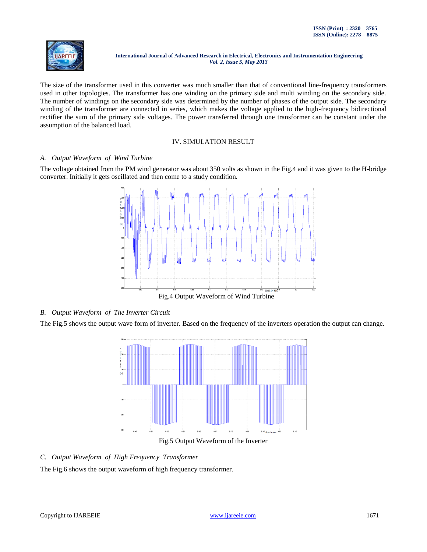

The size of the transformer used in this converter was much smaller than that of conventional line-frequency transformers used in other topologies. The transformer has one winding on the primary side and multi winding on the secondary side. The number of windings on the secondary side was determined by the number of phases of the output side. The secondary winding of the transformer are connected in series, which makes the voltage applied to the high-frequency bidirectional rectifier the sum of the primary side voltages. The power transferred through one transformer can be constant under the assumption of the balanced load.

## IV. SIMULATION RESULT

## *A. Output Waveform of Wind Turbine*

The voltage obtained from the PM wind generator was about 350 volts as shown in the Fig.4 and it was given to the H-bridge converter. Initially it gets oscillated and then come to a study condition.



# *B. Output Waveform of The Inverter Circuit*

The Fig.5 shows the output wave form of inverter. Based on the frequency of the inverters operation the output can change.



Fig.5 Output Waveform of the Inverter

# *C. Output Waveform of High Frequency Transformer*

The Fig.6 shows the output waveform of high frequency transformer.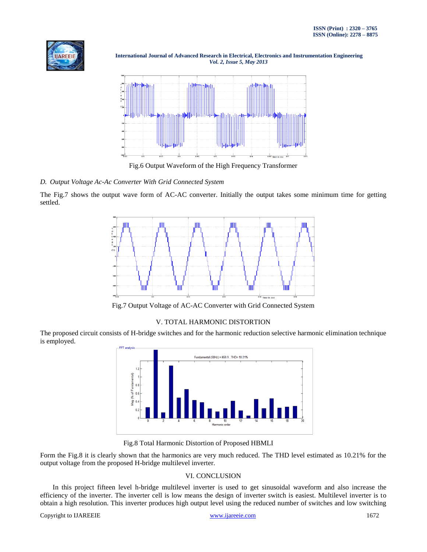



Fig.6 Output Waveform of the High Frequency Transformer

# *D. Output Voltage Ac-Ac Converter With Grid Connected System*

The Fig.7 shows the output wave form of AC-AC converter. Initially the output takes some minimum time for getting settled.



Fig.7 Output Voltage of AC-AC Converter with Grid Connected System

# V. TOTAL HARMONIC DISTORTION

The proposed circuit consists of H-bridge switches and for the harmonic reduction selective harmonic elimination technique is employed.



Fig.8 Total Harmonic Distortion of Proposed HBMLI

Form the Fig.8 it is clearly shown that the harmonics are very much reduced. The THD level estimated as 10.21% for the output voltage from the proposed H-bridge multilevel inverter.

# VI. CONCLUSION

In this project fifteen level h-bridge multilevel inverter is used to get sinusoidal waveform and also increase the efficiency of the inverter. The inverter cell is low means the design of inverter switch is easiest. Multilevel inverter is to obtain a high resolution. This inverter produces high output level using the reduced number of switches and low switching

## Copyright to IJAREEIE [www.ijareeie.com](http://www.ijareeie.com/) 1672